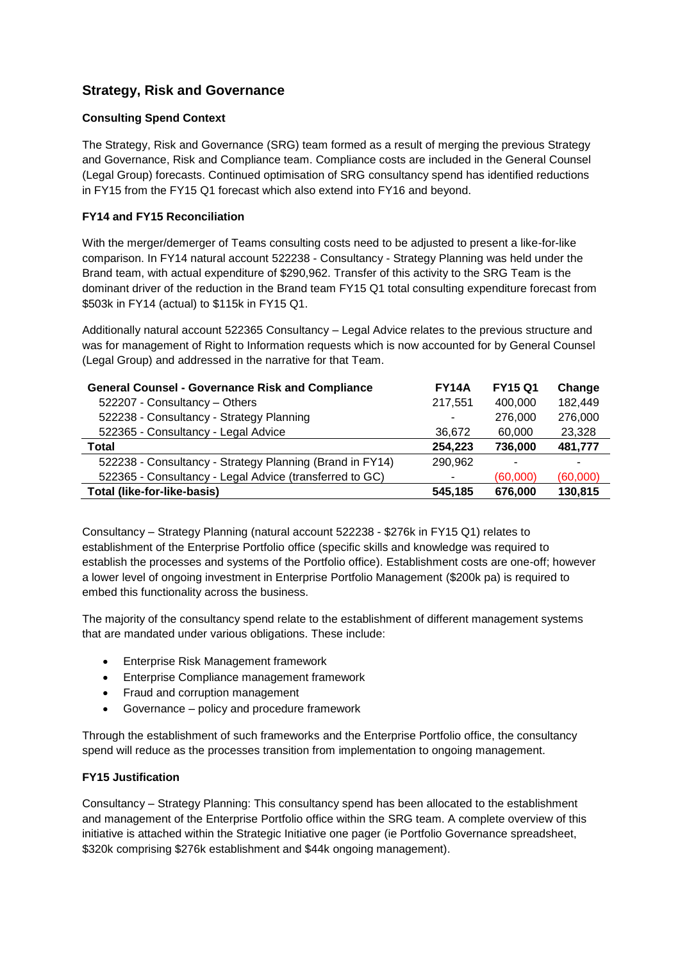# **Strategy, Risk and Governance**

#### **Consulting Spend Context**

The Strategy, Risk and Governance (SRG) team formed as a result of merging the previous Strategy and Governance, Risk and Compliance team. Compliance costs are included in the General Counsel (Legal Group) forecasts. Continued optimisation of SRG consultancy spend has identified reductions in FY15 from the FY15 Q1 forecast which also extend into FY16 and beyond.

### **FY14 and FY15 Reconciliation**

With the merger/demerger of Teams consulting costs need to be adjusted to present a like-for-like comparison. In FY14 natural account 522238 - Consultancy - Strategy Planning was held under the Brand team, with actual expenditure of \$290,962. Transfer of this activity to the SRG Team is the dominant driver of the reduction in the Brand team FY15 Q1 total consulting expenditure forecast from \$503k in FY14 (actual) to \$115k in FY15 Q1.

Additionally natural account 522365 Consultancy – Legal Advice relates to the previous structure and was for management of Right to Information requests which is now accounted for by General Counsel (Legal Group) and addressed in the narrative for that Team.

| <b>General Counsel - Governance Risk and Compliance</b>  | <b>FY14A</b> | <b>FY15 Q1</b> | Change   |
|----------------------------------------------------------|--------------|----------------|----------|
| 522207 - Consultancy - Others                            | 217,551      | 400,000        | 182,449  |
| 522238 - Consultancy - Strategy Planning                 | ۰            | 276,000        | 276,000  |
| 522365 - Consultancy - Legal Advice                      | 36,672       | 60,000         | 23,328   |
| Total                                                    | 254,223      | 736,000        | 481,777  |
| 522238 - Consultancy - Strategy Planning (Brand in FY14) | 290,962      |                | ۰        |
| 522365 - Consultancy - Legal Advice (transferred to GC)  | ٠            | (60,000)       | (60,000) |
| <b>Total (like-for-like-basis)</b>                       | 545.185      | 676.000        | 130,815  |

Consultancy – Strategy Planning (natural account 522238 - \$276k in FY15 Q1) relates to establishment of the Enterprise Portfolio office (specific skills and knowledge was required to establish the processes and systems of the Portfolio office). Establishment costs are one-off; however a lower level of ongoing investment in Enterprise Portfolio Management (\$200k pa) is required to embed this functionality across the business.

The majority of the consultancy spend relate to the establishment of different management systems that are mandated under various obligations. These include:

- **•** Enterprise Risk Management framework
- **•** Enterprise Compliance management framework
- Fraud and corruption management
- Governance policy and procedure framework

Through the establishment of such frameworks and the Enterprise Portfolio office, the consultancy spend will reduce as the processes transition from implementation to ongoing management.

#### **FY15 Justification**

Consultancy – Strategy Planning: This consultancy spend has been allocated to the establishment and management of the Enterprise Portfolio office within the SRG team. A complete overview of this initiative is attached within the Strategic Initiative one pager (ie Portfolio Governance spreadsheet, \$320k comprising \$276k establishment and \$44k ongoing management).